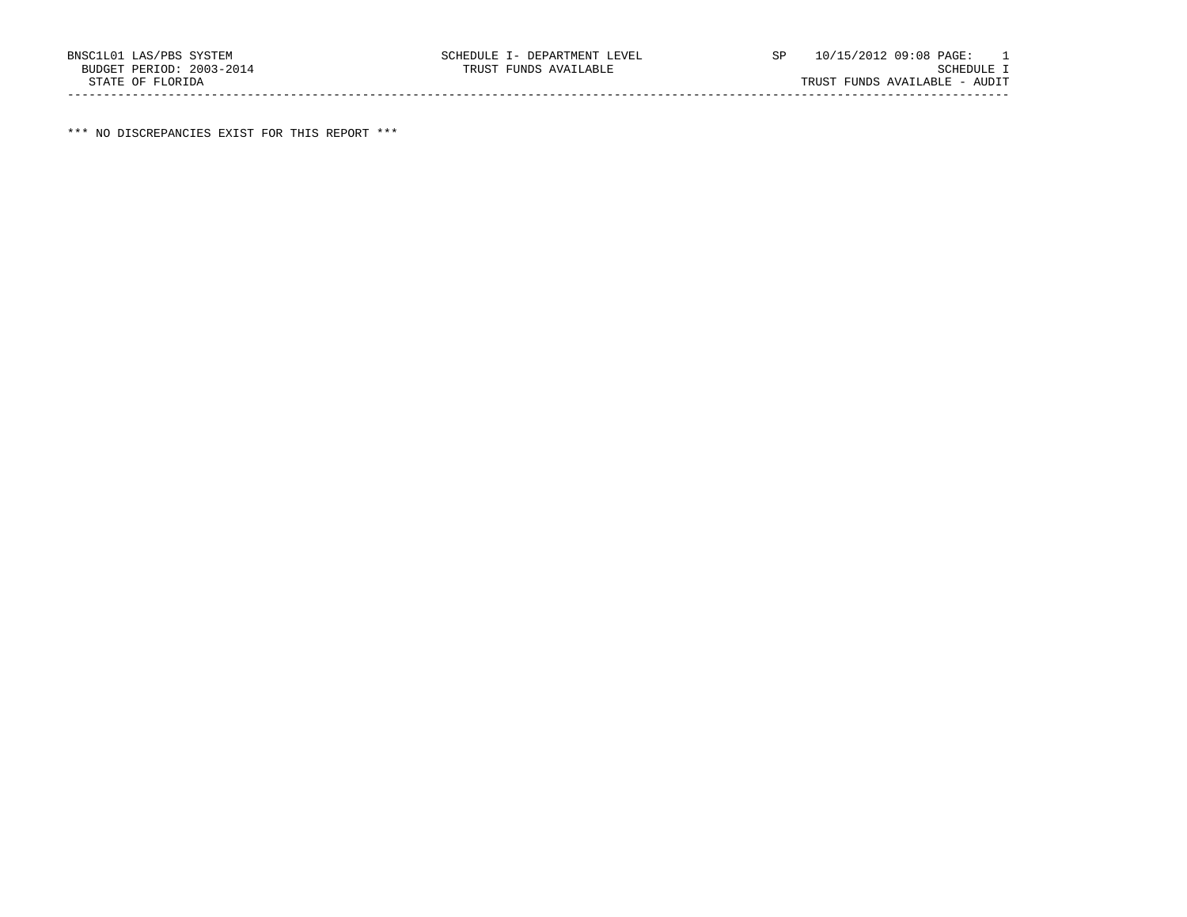\*\*\* NO DISCREPANCIES EXIST FOR THIS REPORT \*\*\*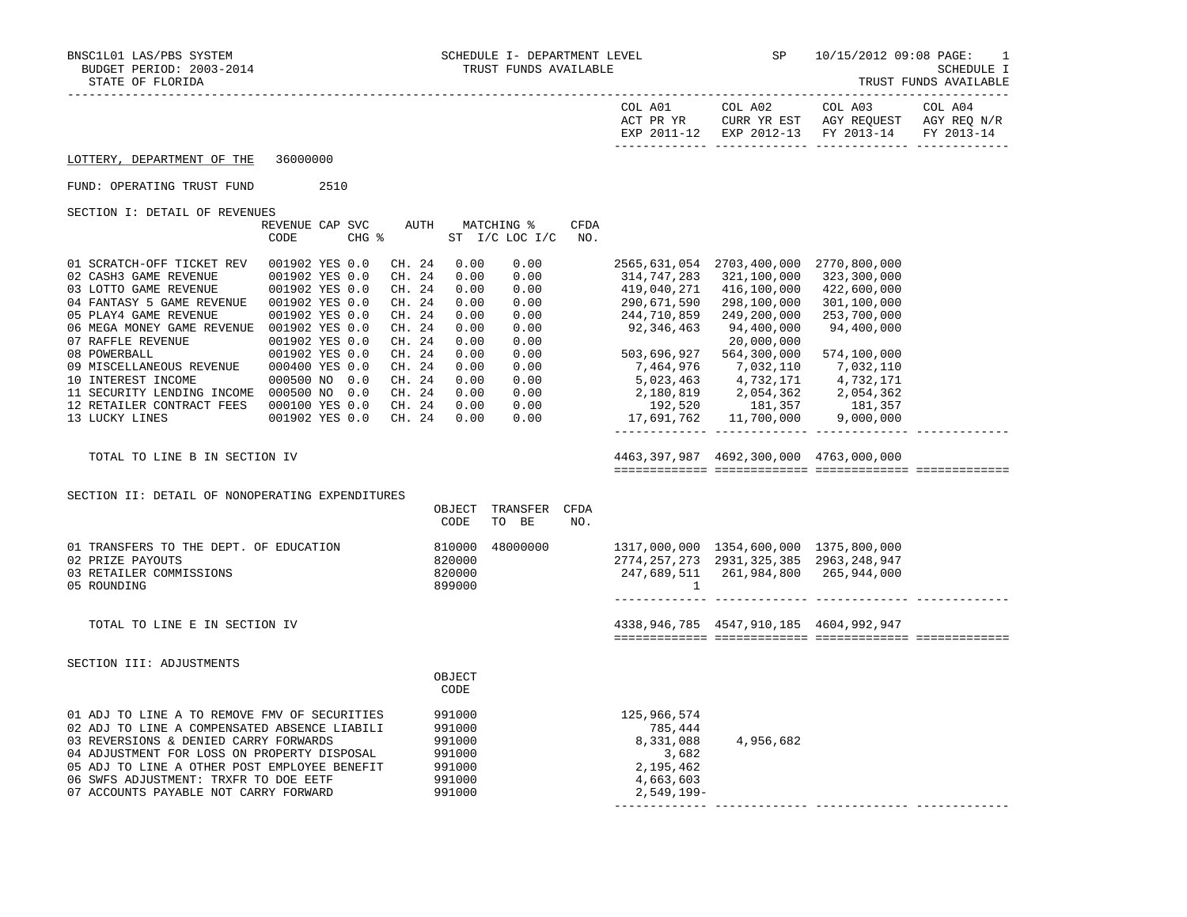|                                                                                                                                                                                                                                                                                                                                                                                                                                                                                                                                                                          |                                                                      |                                                                                                                                                                                                                                                                                                                                                  |                                                                                        |                                                                                                                                                                                                                                                                                                                                                                                             |                                                                                        | EXP 2011-12 EXP 2012-13 FY 2013-14                                                  | FY 2013-14 |
|--------------------------------------------------------------------------------------------------------------------------------------------------------------------------------------------------------------------------------------------------------------------------------------------------------------------------------------------------------------------------------------------------------------------------------------------------------------------------------------------------------------------------------------------------------------------------|----------------------------------------------------------------------|--------------------------------------------------------------------------------------------------------------------------------------------------------------------------------------------------------------------------------------------------------------------------------------------------------------------------------------------------|----------------------------------------------------------------------------------------|---------------------------------------------------------------------------------------------------------------------------------------------------------------------------------------------------------------------------------------------------------------------------------------------------------------------------------------------------------------------------------------------|----------------------------------------------------------------------------------------|-------------------------------------------------------------------------------------|------------|
| LOTTERY, DEPARTMENT OF THE                                                                                                                                                                                                                                                                                                                                                                                                                                                                                                                                               | 36000000                                                             |                                                                                                                                                                                                                                                                                                                                                  |                                                                                        |                                                                                                                                                                                                                                                                                                                                                                                             |                                                                                        |                                                                                     |            |
| FUND: OPERATING TRUST FUND                                                                                                                                                                                                                                                                                                                                                                                                                                                                                                                                               | 2510                                                                 |                                                                                                                                                                                                                                                                                                                                                  |                                                                                        |                                                                                                                                                                                                                                                                                                                                                                                             |                                                                                        |                                                                                     |            |
| SECTION I: DETAIL OF REVENUES                                                                                                                                                                                                                                                                                                                                                                                                                                                                                                                                            | REVENUE CAP SVC<br>$CHG$ $\approx$<br>CODE                           | AUTH MATCHING %<br>ST I/C LOC I/C NO.                                                                                                                                                                                                                                                                                                            | CFDA                                                                                   |                                                                                                                                                                                                                                                                                                                                                                                             |                                                                                        |                                                                                     |            |
| 01 SCRATCH-OFF TICKET REV 001902 YES 0.0<br>$\begin{tabular}{lllllllllll} 02 & CASH3 & GAME & REVENUE & 001902 & YES & 0.0 \\ 03 & LOTTO & GAME & REVENUE & 001902 & YES & 0.0 \\ \end{tabular}$<br>04 FANTASY 5 GAME REVENUE  001902 YES 0.0<br>05 PLAY4 GAME REVENUE<br>06 MEGA MONEY GAME REVENUE 001902 YES 0.0<br>00 BESIT LORES - --<br>07 RAFFLE REVENUE<br>08 POWERBALL<br>09 MISCELLANEOUS REVENUE 000400 YES 0.0<br>10 INTEREST INCOME 000500 NO 0.0<br>11 SECURITY LENDING INCOME 000500 NO 0.0<br>12 RETAILER CONTRACT FEES 000100 YES 0.0<br>13 LUCKY LINES | 001902 YES 0.0<br>001902 YES 0.0<br>001902 YES 0.0<br>001902 YES 0.0 | CH. 24<br>0.00<br>0.00<br>CH. 24<br>0.00<br>0.00<br>CH. 24<br>0.00<br>$0.00$<br>$0.00$<br>CH. 24<br>0.00<br>CH. 24<br>0.00<br>0.00<br>CH. 24<br>0.00<br>0.00<br>CH. 24<br>0.00<br>0.00<br>CH. 24<br>0.00<br>0.00<br>CH. 24<br>0.00<br>0.00<br>CH. 24<br>0.00<br>$0.00$<br>$0.00$<br>CH. 24<br>0.00<br>CH. 24 0.00<br>0.00<br>CH. 24 0.00<br>0.00 |                                                                                        | 314,747,283 321,100,000 323,300,000<br>419,040,271 416,100,000<br>290,671,590<br>$244,710,859$ $249,200,000$<br>92,346,463 94,400,000<br>503,696,927 564,300,000<br>7,464,976 7,032,110<br>$\begin{array}{cccc} 6, 223, 463 & 4, 732, 171 & 4, 732, 171 \ 2, 180, 819 & 2, 054, 362 & 2, 054, 362 \ 192, 520 & 181, 357 & 181, 357 \ 17, 691, 762 & 11, 700, 000 & 9, 000, 000 \end{array}$ | 2565,631,054 2703,400,000 2770,800,000<br>298,100,000<br>20,000,000                    | 422,600,000<br>301,100,000<br>253,700,000<br>94,400,000<br>574,100,000<br>7,032,110 |            |
| TOTAL TO LINE B IN SECTION IV                                                                                                                                                                                                                                                                                                                                                                                                                                                                                                                                            |                                                                      |                                                                                                                                                                                                                                                                                                                                                  |                                                                                        |                                                                                                                                                                                                                                                                                                                                                                                             | 4463, 397, 987 4692, 300, 000 4763, 000, 000                                           |                                                                                     |            |
| SECTION II: DETAIL OF NONOPERATING EXPENDITURES<br>OBJECT TRANSFER CFDA<br>CODE<br>TO BE<br>NO.                                                                                                                                                                                                                                                                                                                                                                                                                                                                          |                                                                      |                                                                                                                                                                                                                                                                                                                                                  |                                                                                        |                                                                                                                                                                                                                                                                                                                                                                                             |                                                                                        |                                                                                     |            |
| 810000<br>01 TRANSFERS TO THE DEPT. OF EDUCATION<br>02 PRIZE PAYOUTS<br>03 RETAILER COMMISSIONS<br>05 ROUNDING                                                                                                                                                                                                                                                                                                                                                                                                                                                           |                                                                      | 48000000<br>820000<br>820000<br>899000                                                                                                                                                                                                                                                                                                           |                                                                                        | $\overline{1}$                                                                                                                                                                                                                                                                                                                                                                              | 1317,000,000 1354,600,000 1375,800,000<br>2774, 257, 273 2931, 325, 385 2963, 248, 947 |                                                                                     |            |
| TOTAL TO LINE E IN SECTION IV                                                                                                                                                                                                                                                                                                                                                                                                                                                                                                                                            |                                                                      |                                                                                                                                                                                                                                                                                                                                                  |                                                                                        |                                                                                                                                                                                                                                                                                                                                                                                             | 4338,946,785 4547,910,185 4604,992,947                                                 |                                                                                     |            |
| SECTION III: ADJUSTMENTS                                                                                                                                                                                                                                                                                                                                                                                                                                                                                                                                                 | OBJECT<br>CODE                                                       |                                                                                                                                                                                                                                                                                                                                                  |                                                                                        |                                                                                                                                                                                                                                                                                                                                                                                             |                                                                                        |                                                                                     |            |
| 01 ADJ TO LINE A TO REMOVE FMV OF SECURITIES<br>02 ADJ TO LINE A COMPENSATED ABSENCE LIABILI<br>03 REVERSIONS & DENIED CARRY FORWARDS<br>04 ADJUSTMENT FOR LOSS ON PROPERTY DISPOSAL<br>05 ADJ TO LINE A OTHER POST EMPLOYEE BENEFIT<br>06 SWFS ADJUSTMENT: TRXFR TO DOE EETF<br>07 ACCOUNTS PAYABLE NOT CARRY FORWARD                                                                                                                                                                                                                                                   | 991000<br>991000<br>991000<br>991000<br>991000<br>991000<br>991000   |                                                                                                                                                                                                                                                                                                                                                  | 125,966,574<br>785,444<br>8,331,088<br>3,682<br>2,195,462<br>4,663,603<br>$2,549,199-$ | 4,956,682                                                                                                                                                                                                                                                                                                                                                                                   |                                                                                        |                                                                                     |            |